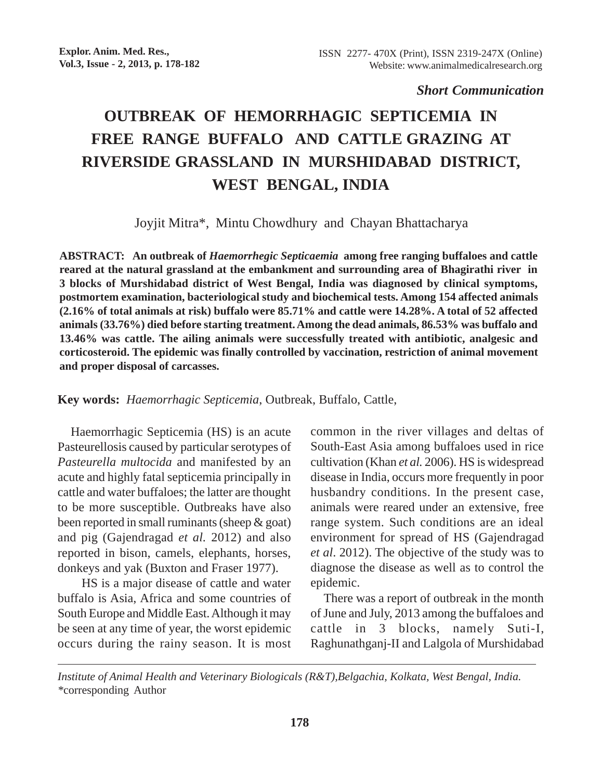## *Short Communication*

## **OUTBREAK OF HEMORRHAGIC SEPTICEMIA IN FREE RANGE BUFFALO AND CATTLE GRAZING AT RIVERSIDE GRASSLAND IN MURSHIDABAD DISTRICT, WEST BENGAL, INDIA**

Joyjit Mitra\*, Mintu Chowdhury and Chayan Bhattacharya

**ABSTRACT: An outbreak of** *Haemorrhegic Septicaemia* **among free ranging buffaloes and cattle reared at the natural grassland at the embankment and surrounding area of Bhagirathi river in 3 blocks of Murshidabad district of West Bengal, India was diagnosed by clinical symptoms, postmortem examination, bacteriological study and biochemical tests. Among 154 affected animals (2.16% of total animals at risk) buffalo were 85.71% and cattle were 14.28%. A total of 52 affected animals (33.76%) died before starting treatment. Among the dead animals, 86.53% was buffalo and 13.46% was cattle. The ailing animals were successfully treated with antibiotic, analgesic and corticosteroid. The epidemic was finally controlled by vaccination, restriction of animal movement and proper disposal of carcasses.**

**Key words:** *Haemorrhagic Septicemia*, Outbreak, Buffalo, Cattle,

Haemorrhagic Septicemia (HS) is an acute Pasteurellosis caused by particular serotypes of *Pasteurella multocida* and manifested by an acute and highly fatal septicemia principally in cattle and water buffaloes; the latter are thought to be more susceptible. Outbreaks have also been reported in small ruminants (sheep & goat) and pig (Gajendragad *et al.* 2012) and also reported in bison, camels, elephants, horses, donkeys and yak (Buxton and Fraser 1977).

 HS is a major disease of cattle and water buffalo is Asia, Africa and some countries of South Europe and Middle East. Although it may be seen at any time of year, the worst epidemic occurs during the rainy season. It is most common in the river villages and deltas of South-East Asia among buffaloes used in rice cultivation (Khan *et al.* 2006). HS is widespread disease in India, occurs more frequently in poor husbandry conditions. In the present case, animals were reared under an extensive, free range system. Such conditions are an ideal environment for spread of HS (Gajendragad *et al*. 2012). The objective of the study was to diagnose the disease as well as to control the epidemic.

There was a report of outbreak in the month of June and July, 2013 among the buffaloes and cattle in 3 blocks, namely Suti-I, Raghunathganj-II and Lalgola of Murshidabad

*Institute of Animal Health and Veterinary Biologicals (R&T),Belgachia, Kolkata, West Bengal, India. \**corresponding Author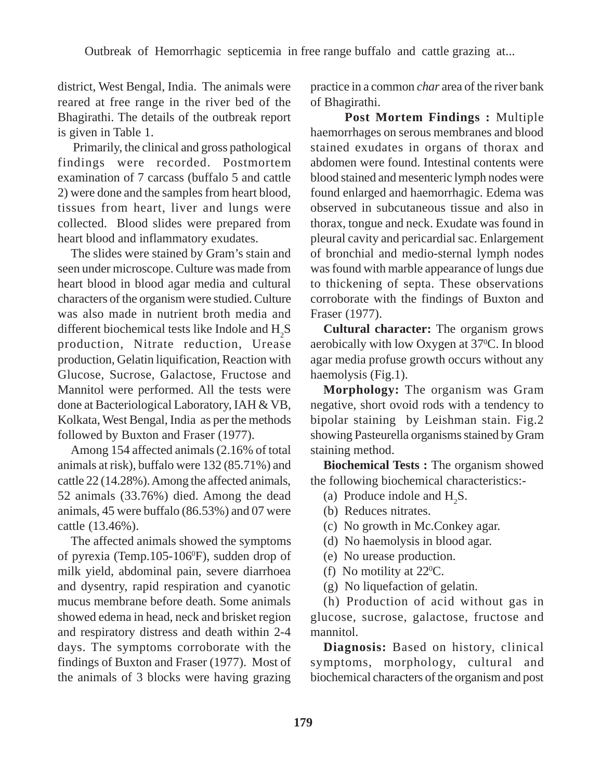district, West Bengal, India. The animals were reared at free range in the river bed of the Bhagirathi. The details of the outbreak report is given in Table 1.

 Primarily, the clinical and gross pathological findings were recorded. Postmortem examination of 7 carcass (buffalo 5 and cattle 2) were done and the samples from heart blood, tissues from heart, liver and lungs were collected. Blood slides were prepared from heart blood and inflammatory exudates.

The slides were stained by Gram's stain and seen under microscope. Culture was made from heart blood in blood agar media and cultural characters of the organism were studied. Culture was also made in nutrient broth media and different biochemical tests like Indole and  $\mathrm{H}_2\mathrm{S}$ production, Nitrate reduction, Urease production, Gelatin liquification, Reaction with Glucose, Sucrose, Galactose, Fructose and Mannitol were performed. All the tests were done at Bacteriological Laboratory, IAH & VB, Kolkata, West Bengal, India as per the methods followed by Buxton and Fraser (1977).

Among 154 affected animals (2.16% of total animals at risk), buffalo were 132 (85.71%) and cattle 22 (14.28%). Among the affected animals, 52 animals (33.76%) died. Among the dead animals, 45 were buffalo (86.53%) and 07 were cattle (13.46%).

The affected animals showed the symptoms of pyrexia (Temp.105-106<sup>0</sup>F), sudden drop of milk yield, abdominal pain, severe diarrhoea and dysentry, rapid respiration and cyanotic mucus membrane before death. Some animals showed edema in head, neck and brisket region and respiratory distress and death within 2-4 days. The symptoms corroborate with the findings of Buxton and Fraser (1977). Most of the animals of 3 blocks were having grazing

practice in a common *char* area of the river bank of Bhagirathi.

 **Post Mortem Findings :** Multiple haemorrhages on serous membranes and blood stained exudates in organs of thorax and abdomen were found. Intestinal contents were blood stained and mesenteric lymph nodes were found enlarged and haemorrhagic. Edema was observed in subcutaneous tissue and also in thorax, tongue and neck. Exudate was found in pleural cavity and pericardial sac. Enlargement of bronchial and medio-sternal lymph nodes was found with marble appearance of lungs due to thickening of septa. These observations corroborate with the findings of Buxton and Fraser (1977).

**Cultural character:** The organism grows aerobically with low Oxygen at 37°C. In blood agar media profuse growth occurs without any haemolysis (Fig.1).

**Morphology:** The organism was Gram negative, short ovoid rods with a tendency to bipolar staining by Leishman stain. Fig.2 showing Pasteurella organisms stained by Gram staining method.

**Biochemical Tests :** The organism showed the following biochemical characteristics:-

- (a) Produce indole and  $H_2S$ .
- (b) Reduces nitrates.
- (c) No growth in Mc.Conkey agar.
- (d) No haemolysis in blood agar.
- (e) No urease production.
- (f) No motility at  $22^{\circ}$ C.
- (g) No liquefaction of gelatin.

(h) Production of acid without gas in glucose, sucrose, galactose, fructose and mannitol.

**Diagnosis:** Based on history, clinical symptoms, morphology, cultural and biochemical characters of the organism and post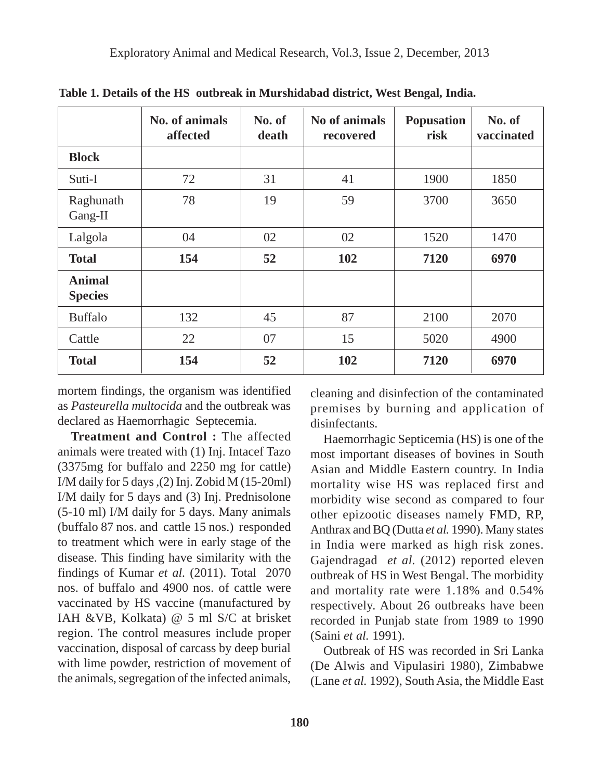|                                 | No. of animals<br>affected | No. of<br>death | No of animals<br>recovered | <b>Popusation</b><br>risk | No. of<br>vaccinated |
|---------------------------------|----------------------------|-----------------|----------------------------|---------------------------|----------------------|
| <b>Block</b>                    |                            |                 |                            |                           |                      |
| Suti-I                          | 72                         | 31              | 41                         | 1900                      | 1850                 |
| Raghunath<br>Gang-II            | 78                         | 19              | 59                         | 3700                      | 3650                 |
| Lalgola                         | 04                         | 02              | 02                         | 1520                      | 1470                 |
| <b>Total</b>                    | 154                        | 52              | 102                        | 7120                      | 6970                 |
| <b>Animal</b><br><b>Species</b> |                            |                 |                            |                           |                      |
| <b>Buffalo</b>                  | 132                        | 45              | 87                         | 2100                      | 2070                 |
| Cattle                          | 22                         | 07              | 15                         | 5020                      | 4900                 |
| <b>Total</b>                    | 154                        | 52              | 102                        | 7120                      | 6970                 |

**Table 1. Details of the HS outbreak in Murshidabad district, West Bengal, India.**

mortem findings, the organism was identified as *Pasteurella multocida* and the outbreak was declared as Haemorrhagic Septecemia.

**Treatment and Control :** The affected animals were treated with (1) Inj. Intacef Tazo (3375mg for buffalo and 2250 mg for cattle) I/M daily for 5 days ,(2) Inj. Zobid M (15-20ml) I/M daily for 5 days and (3) Inj. Prednisolone (5-10 ml) I/M daily for 5 days. Many animals (buffalo 87 nos. and cattle 15 nos.) responded to treatment which were in early stage of the disease. This finding have similarity with the findings of Kumar *et al.* (2011). Total 2070 nos. of buffalo and 4900 nos. of cattle were vaccinated by HS vaccine (manufactured by IAH &VB, Kolkata) @ 5 ml S/C at brisket region. The control measures include proper vaccination, disposal of carcass by deep burial with lime powder, restriction of movement of the animals, segregation of the infected animals,

cleaning and disinfection of the contaminated premises by burning and application of disinfectants.

Haemorrhagic Septicemia (HS) is one of the most important diseases of bovines in South Asian and Middle Eastern country. In India mortality wise HS was replaced first and morbidity wise second as compared to four other epizootic diseases namely FMD, RP, Anthrax and BQ (Dutta *et al.* 1990). Many states in India were marked as high risk zones. Gajendragad *et al.* (2012) reported eleven outbreak of HS in West Bengal. The morbidity and mortality rate were 1.18% and 0.54% respectively. About 26 outbreaks have been recorded in Punjab state from 1989 to 1990 (Saini *et al.* 1991).

Outbreak of HS was recorded in Sri Lanka (De Alwis and Vipulasiri 1980), Zimbabwe (Lane *et al.* 1992), South Asia, the Middle East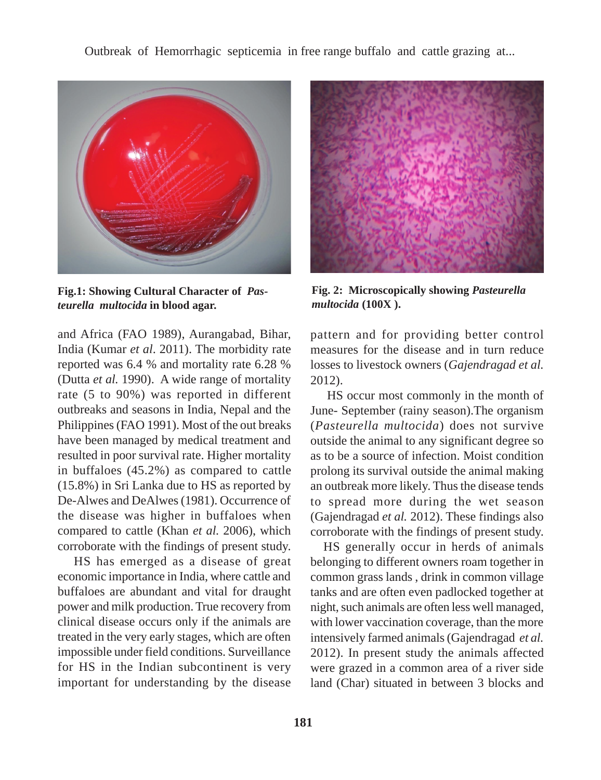Outbreak of Hemorrhagic septicemia in free range buffalo and cattle grazing at...



**Fig.1: Showing Cultural Character of** *Pasteurella multocida* **in blood agar.**

and Africa (FAO 1989), Aurangabad, Bihar, India (Kumar *et al*. 2011). The morbidity rate reported was 6.4 % and mortality rate 6.28 % (Dutta *et al.* 1990). A wide range of mortality rate (5 to 90%) was reported in different outbreaks and seasons in India, Nepal and the Philippines (FAO 1991). Most of the out breaks have been managed by medical treatment and resulted in poor survival rate. Higher mortality in buffaloes (45.2%) as compared to cattle (15.8%) in Sri Lanka due to HS as reported by De-Alwes and DeAlwes (1981). Occurrence of the disease was higher in buffaloes when compared to cattle (Khan *et al.* 2006), which corroborate with the findings of present study.

HS has emerged as a disease of great economic importance in India, where cattle and buffaloes are abundant and vital for draught power and milk production. True recovery from clinical disease occurs only if the animals are treated in the very early stages, which are often impossible under field conditions. Surveillance for HS in the Indian subcontinent is very important for understanding by the disease



**Fig. 2: Microscopically showing** *Pasteurella multocida* **(100X ).**

pattern and for providing better control measures for the disease and in turn reduce losses to livestock owners (*Gajendragad et al.* 2012).

 HS occur most commonly in the month of June- September (rainy season).The organism (*Pasteurella multocida*) does not survive outside the animal to any significant degree so as to be a source of infection. Moist condition prolong its survival outside the animal making an outbreak more likely. Thus the disease tends to spread more during the wet season (Gajendragad *et al.* 2012). These findings also corroborate with the findings of present study.

HS generally occur in herds of animals belonging to different owners roam together in common grass lands , drink in common village tanks and are often even padlocked together at night, such animals are often less well managed, with lower vaccination coverage, than the more intensively farmed animals (Gajendragad *et al.* 2012). In present study the animals affected were grazed in a common area of a river side land (Char) situated in between 3 blocks and